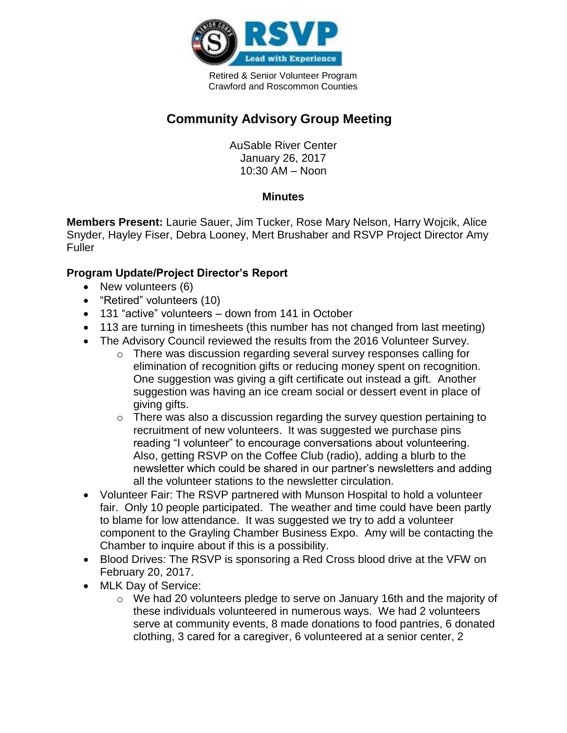

Retired & Senior Volunteer Program Crawford and Roscommon Counties

## **Community Advisory Group Meeting**

AuSable River Center January 26, 2017 10:30 AM – Noon

## **Minutes**

**Members Present:** Laurie Sauer, Jim Tucker, Rose Mary Nelson, Harry Wojcik, Alice Snyder, Hayley Fiser, Debra Looney, Mert Brushaber and RSVP Project Director Amy Fuller

## **Program Update/Project Director's Report**

- New volunteers (6)
- "Retired" volunteers (10)
- 131 "active" volunteers down from 141 in October
- 113 are turning in timesheets (this number has not changed from last meeting)
- The Advisory Council reviewed the results from the 2016 Volunteer Survey.
	- $\circ$  There was discussion regarding several survey responses calling for elimination of recognition gifts or reducing money spent on recognition. One suggestion was giving a gift certificate out instead a gift. Another suggestion was having an ice cream social or dessert event in place of giving gifts.
	- o There was also a discussion regarding the survey question pertaining to recruitment of new volunteers. It was suggested we purchase pins reading "I volunteer" to encourage conversations about volunteering. Also, getting RSVP on the Coffee Club (radio), adding a blurb to the newsletter which could be shared in our partner's newsletters and adding all the volunteer stations to the newsletter circulation.
- Volunteer Fair: The RSVP partnered with Munson Hospital to hold a volunteer fair. Only 10 people participated. The weather and time could have been partly to blame for low attendance. It was suggested we try to add a volunteer component to the Grayling Chamber Business Expo. Amy will be contacting the Chamber to inquire about if this is a possibility.
- Blood Drives: The RSVP is sponsoring a Red Cross blood drive at the VFW on February 20, 2017.
- MLK Day of Service:
	- o We had 20 volunteers pledge to serve on January 16th and the majority of these individuals volunteered in numerous ways. We had 2 volunteers serve at community events, 8 made donations to food pantries, 6 donated clothing, 3 cared for a caregiver, 6 volunteered at a senior center, 2